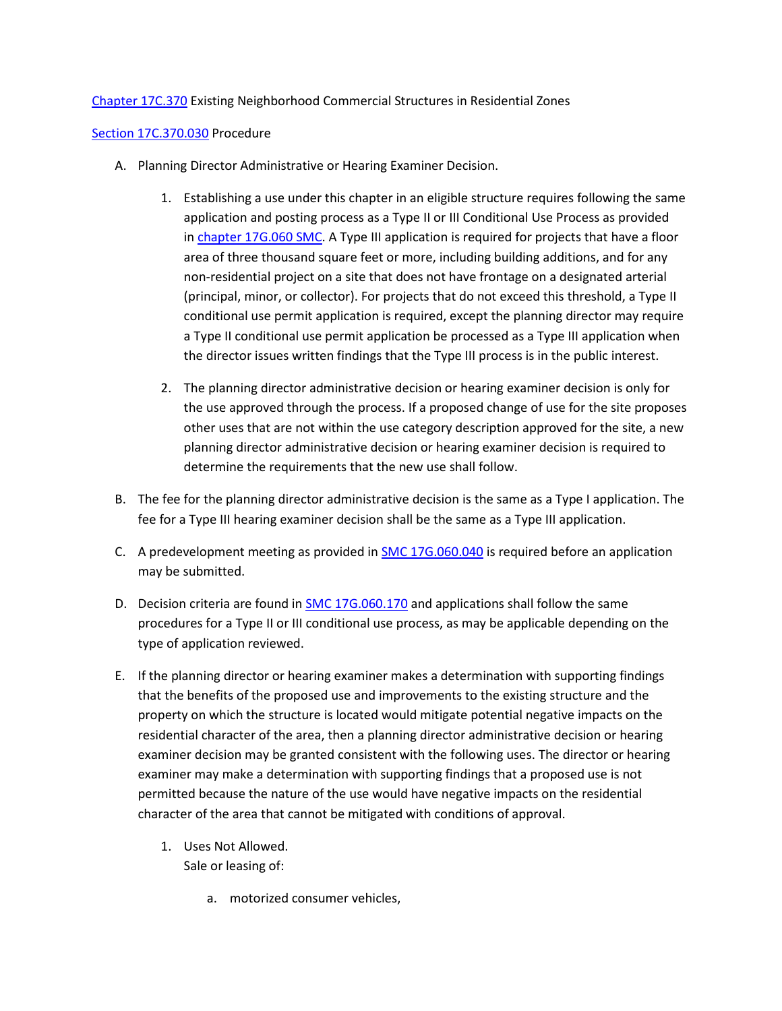[Chapter 17C.370](https://my.spokanecity.org/smc/?Chapter=17C.370) Existing Neighborhood Commercial Structures in Residential Zones

## [Section 17C.370.030](https://my.spokanecity.org/smc/?Section=17C.370.030) Procedure

- A. Planning Director Administrative or Hearing Examiner Decision.
	- 1. Establishing a use under this chapter in an eligible structure requires following the same application and posting process as a Type II or III Conditional Use Process as provided in [chapter 17G.060 SMC.](https://my.spokanecity.org/smc/?Chapter=17G.060) A Type III application is required for projects that have a floor area of three thousand square feet or more, including building additions, and for any non-residential project on a site that does not have frontage on a designated arterial (principal, minor, or collector). For projects that do not exceed this threshold, a Type II conditional use permit application is required, except the planning director may require a Type II conditional use permit application be processed as a Type III application when the director issues written findings that the Type III process is in the public interest.
	- 2. The planning director administrative decision or hearing examiner decision is only for the use approved through the process. If a proposed change of use for the site proposes other uses that are not within the use category description approved for the site, a new planning director administrative decision or hearing examiner decision is required to determine the requirements that the new use shall follow.
- B. The fee for the planning director administrative decision is the same as a Type I application. The fee for a Type III hearing examiner decision shall be the same as a Type III application.
- C. A predevelopment meeting as provided in **[SMC 17G.060.040](https://my.spokanecity.org/smc/?Section=17G.060.040)** is required before an application may be submitted.
- D. Decision criteria are found in **SMC 17G.060.170** and applications shall follow the same procedures for a Type II or III conditional use process, as may be applicable depending on the type of application reviewed.
- E. If the planning director or hearing examiner makes a determination with supporting findings that the benefits of the proposed use and improvements to the existing structure and the property on which the structure is located would mitigate potential negative impacts on the residential character of the area, then a planning director administrative decision or hearing examiner decision may be granted consistent with the following uses. The director or hearing examiner may make a determination with supporting findings that a proposed use is not permitted because the nature of the use would have negative impacts on the residential character of the area that cannot be mitigated with conditions of approval.
	- 1. Uses Not Allowed. Sale or leasing of:
		- a. motorized consumer vehicles,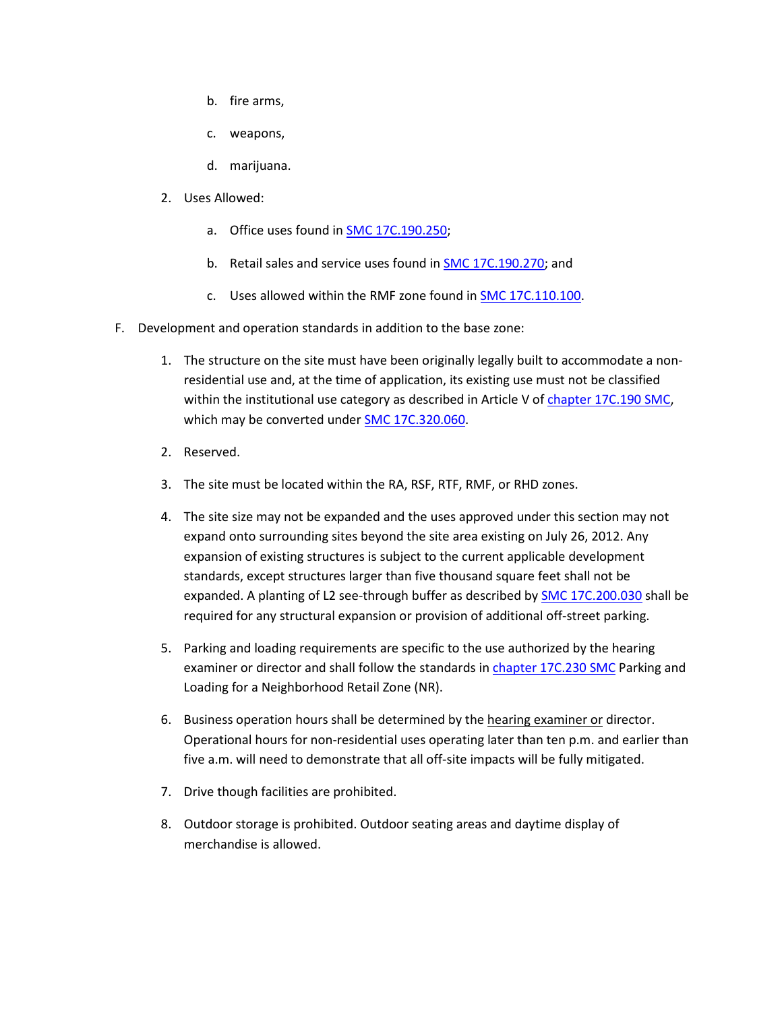- b. fire arms,
- c. weapons,
- d. marijuana.
- 2. Uses Allowed:
	- a. Office uses found in **SMC 17C.190.250;**
	- b. Retail sales and service uses found i[n SMC 17C.190.270;](https://my.spokanecity.org/smc/?Section=17C.190.270) and
	- c. Uses allowed within the RMF zone found in [SMC 17C.110.100.](https://my.spokanecity.org/smc/?Section=17C.110.100)
- F. Development and operation standards in addition to the base zone:
	- 1. The structure on the site must have been originally legally built to accommodate a nonresidential use and, at the time of application, its existing use must not be classified within the institutional use category as described in Article V o[f chapter 17C.190 SMC,](https://my.spokanecity.org/smc/?Chapter=17C.190) which may be converted under **SMC 17C.320.060**.
	- 2. Reserved.
	- 3. The site must be located within the RA, RSF, RTF, RMF, or RHD zones.
	- 4. The site size may not be expanded and the uses approved under this section may not expand onto surrounding sites beyond the site area existing on July 26, 2012. Any expansion of existing structures is subject to the current applicable development standards, except structures larger than five thousand square feet shall not be expanded. A planting of L2 see-through buffer as described by **SMC 17C.200.030** shall be required for any structural expansion or provision of additional off-street parking.
	- 5. Parking and loading requirements are specific to the use authorized by the hearing examiner or director and shall follow the standards in [chapter 17C.230 SMC](https://my.spokanecity.org/smc/?Chapter=17C.230) Parking and Loading for a Neighborhood Retail Zone (NR).
	- 6. Business operation hours shall be determined by the hearing examiner or director. Operational hours for non-residential uses operating later than ten p.m. and earlier than five a.m. will need to demonstrate that all off-site impacts will be fully mitigated.
	- 7. Drive though facilities are prohibited.
	- 8. Outdoor storage is prohibited. Outdoor seating areas and daytime display of merchandise is allowed.